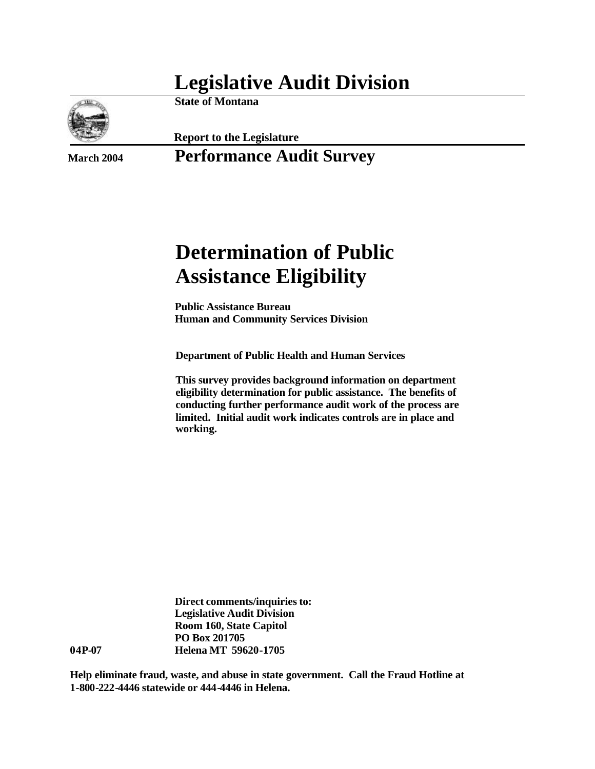## **Legislative Audit Division**



**State of Montana**

**Report to the Legislature**

### **March 2004 Performance Audit Survey**

# **Determination of Public Assistance Eligibility**

**Public Assistance Bureau Human and Community Services Division**

**Department of Public Health and Human Services**

**This survey provides background information on department eligibility determination for public assistance. The benefits of conducting further performance audit work of the process are limited. Initial audit work indicates controls are in place and working.**

**Direct comments/inquiries to: Legislative Audit Division Room 160, State Capitol PO Box 201705 04P-07 Helena MT 59620-1705**

**Help eliminate fraud, waste, and abuse in state government. Call the Fraud Hotline at 1-800-222-4446 statewide or 444-4446 in Helena.**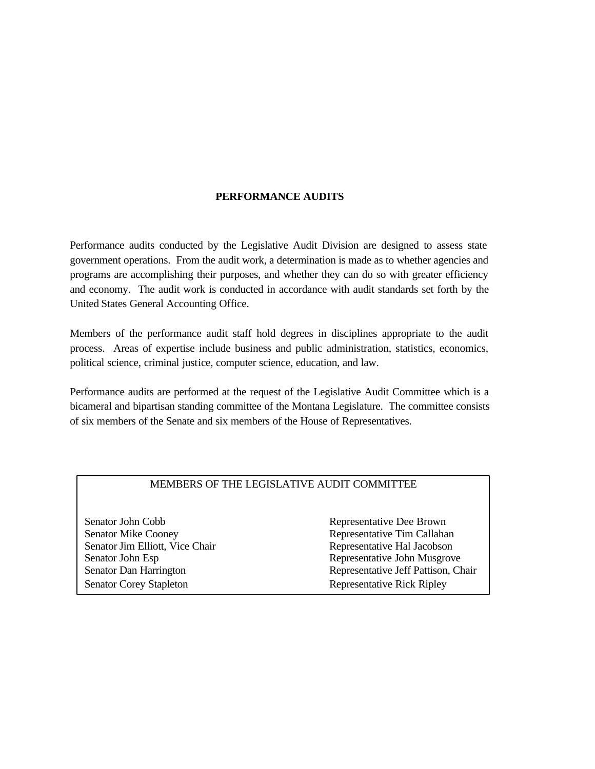#### **PERFORMANCE AUDITS**

Performance audits conducted by the Legislative Audit Division are designed to assess state government operations. From the audit work, a determination is made as to whether agencies and programs are accomplishing their purposes, and whether they can do so with greater efficiency and economy. The audit work is conducted in accordance with audit standards set forth by the United States General Accounting Office.

Members of the performance audit staff hold degrees in disciplines appropriate to the audit process. Areas of expertise include business and public administration, statistics, economics, political science, criminal justice, computer science, education, and law.

Performance audits are performed at the request of the Legislative Audit Committee which is a bicameral and bipartisan standing committee of the Montana Legislature. The committee consists of six members of the Senate and six members of the House of Representatives.

#### MEMBERS OF THE LEGISLATIVE AUDIT COMMITTEE

Senator John Cobb Representative Dee Brown Senator Mike Cooney **Representative Tim Callahan** Senator Jim Elliott, Vice Chair **Representative Hal Jacobson** Senator Corey Stapleton Representative Rick Ripley

Senator John Esp **Representative John Musgrove** Senator Dan Harrington **Representative Jeff Pattison**, Chair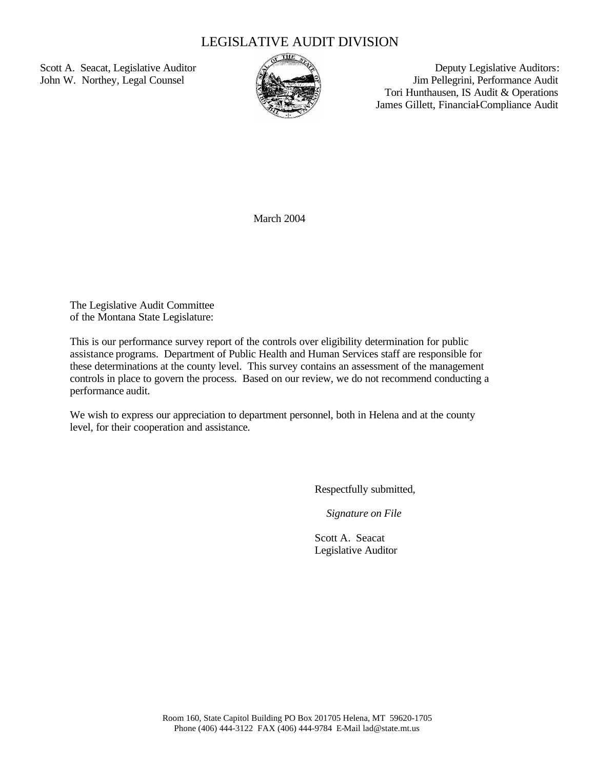### LEGISLATIVE AUDIT DIVISION



Scott A. Seacat, Legislative Auditor  $\mathbb{R}$  Deputy Legislative Auditors: John W. Northey, Legal Counsel June 2008 Jim Pellegrini, Performance Audit Tori Hunthausen, IS Audit & Operations James Gillett, Financial-Compliance Audit

March 2004

The Legislative Audit Committee of the Montana State Legislature:

This is our performance survey report of the controls over eligibility determination for public assistance programs. Department of Public Health and Human Services staff are responsible for these determinations at the county level. This survey contains an assessment of the management controls in place to govern the process. Based on our review, we do not recommend conducting a performance audit.

We wish to express our appreciation to department personnel, both in Helena and at the county level, for their cooperation and assistance*.*

Respectfully submitted,

*Signature on File*

Scott A. Seacat Legislative Auditor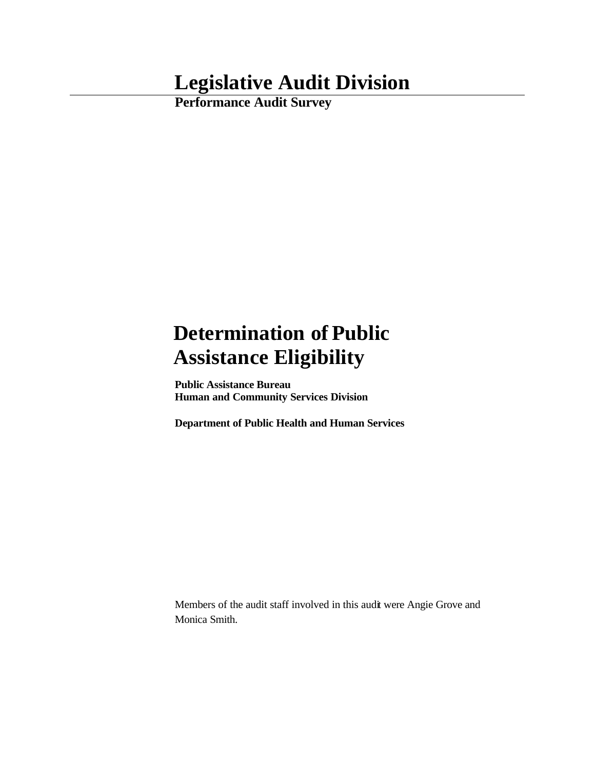## **Legislative Audit Division**

**Performance Audit Survey**

# **Determination of Public Assistance Eligibility**

**Public Assistance Bureau Human and Community Services Division**

**Department of Public Health and Human Services**

Members of the audit staff involved in this audit were Angie Grove and Monica Smith.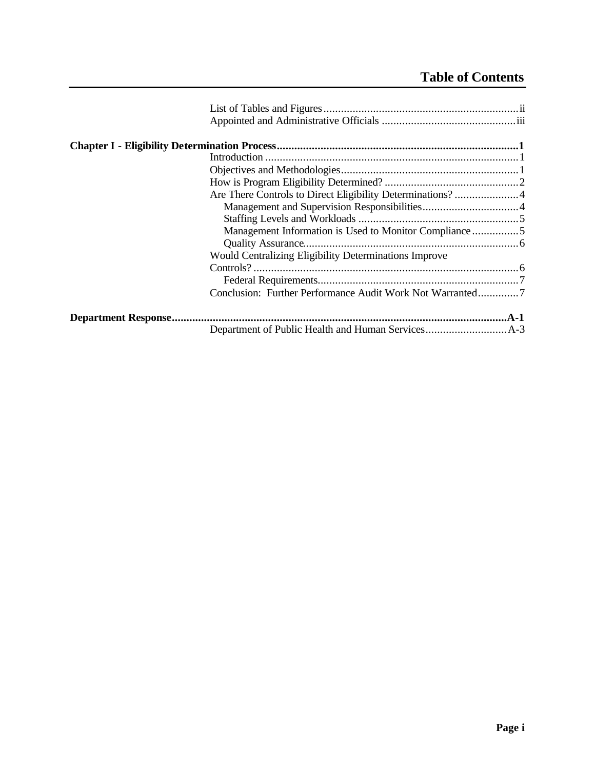### **Table of Contents**

| Are There Controls to Direct Eligibility Determinations? 4   |  |
|--------------------------------------------------------------|--|
|                                                              |  |
|                                                              |  |
| Management Information is Used to Monitor Compliance5        |  |
|                                                              |  |
| <b>Would Centralizing Eligibility Determinations Improve</b> |  |
|                                                              |  |
|                                                              |  |
| Conclusion: Further Performance Audit Work Not Warranted7    |  |
|                                                              |  |
|                                                              |  |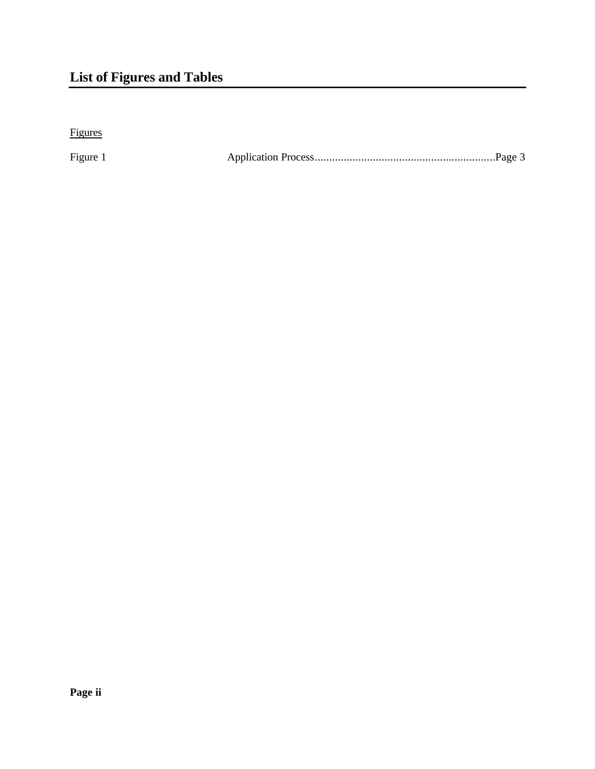## **List of Figures and Tables**

Figures

Figure 1 Application Process..............................................................Page 3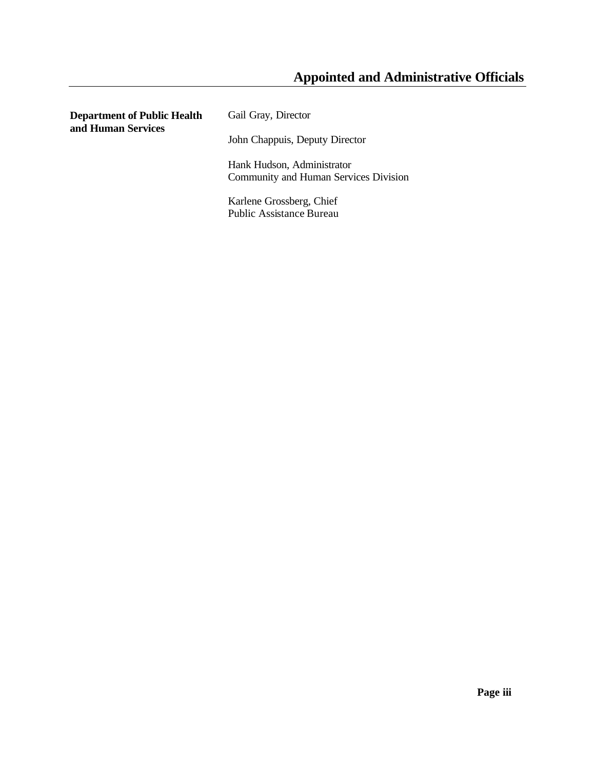### **Appointed and Administrative Officials**

**Department of Public Health and Human Services** Gail Gray, Director John Chappuis, Deputy Director Hank Hudson, Administrator Community and Human Services Division Karlene Grossberg, Chief Public Assistance Bureau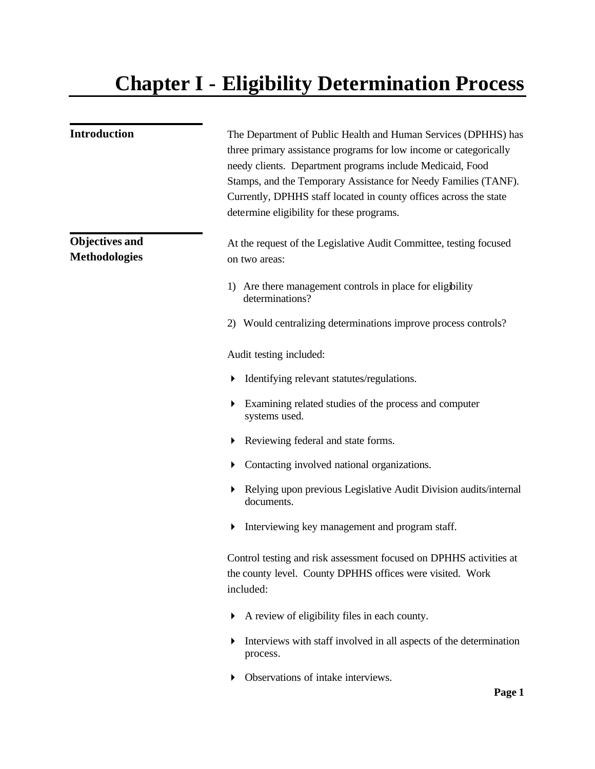# **Chapter I - Eligibility Determination Process**

| <b>Introduction</b>                           | The Department of Public Health and Human Services (DPHHS) has<br>three primary assistance programs for low income or categorically<br>needy clients. Department programs include Medicaid, Food<br>Stamps, and the Temporary Assistance for Needy Families (TANF).<br>Currently, DPHHS staff located in county offices across the state<br>determine eligibility for these programs. |
|-----------------------------------------------|---------------------------------------------------------------------------------------------------------------------------------------------------------------------------------------------------------------------------------------------------------------------------------------------------------------------------------------------------------------------------------------|
| <b>Objectives and</b><br><b>Methodologies</b> | At the request of the Legislative Audit Committee, testing focused<br>on two areas:                                                                                                                                                                                                                                                                                                   |
|                                               | 1) Are there management controls in place for eligibility<br>determinations?                                                                                                                                                                                                                                                                                                          |
|                                               | 2) Would centralizing determinations improve process controls?                                                                                                                                                                                                                                                                                                                        |
|                                               | Audit testing included:                                                                                                                                                                                                                                                                                                                                                               |
|                                               | Identifying relevant statutes/regulations.                                                                                                                                                                                                                                                                                                                                            |
|                                               | Examining related studies of the process and computer<br>systems used.                                                                                                                                                                                                                                                                                                                |
|                                               | Reviewing federal and state forms.<br>▶                                                                                                                                                                                                                                                                                                                                               |
|                                               | Contacting involved national organizations.<br>▶                                                                                                                                                                                                                                                                                                                                      |
|                                               | Relying upon previous Legislative Audit Division audits/internal<br>documents.                                                                                                                                                                                                                                                                                                        |
|                                               | Interviewing key management and program staff.<br>▶                                                                                                                                                                                                                                                                                                                                   |
|                                               | Control testing and risk assessment focused on DPHHS activities at<br>the county level. County DPHHS offices were visited. Work<br>included:                                                                                                                                                                                                                                          |
|                                               | A review of eligibility files in each county.<br>▶                                                                                                                                                                                                                                                                                                                                    |
|                                               | Interviews with staff involved in all aspects of the determination<br>process.                                                                                                                                                                                                                                                                                                        |
|                                               | Observations of intake interviews.<br>$\mathbf{D}_{\alpha\alpha\alpha}$ 1                                                                                                                                                                                                                                                                                                             |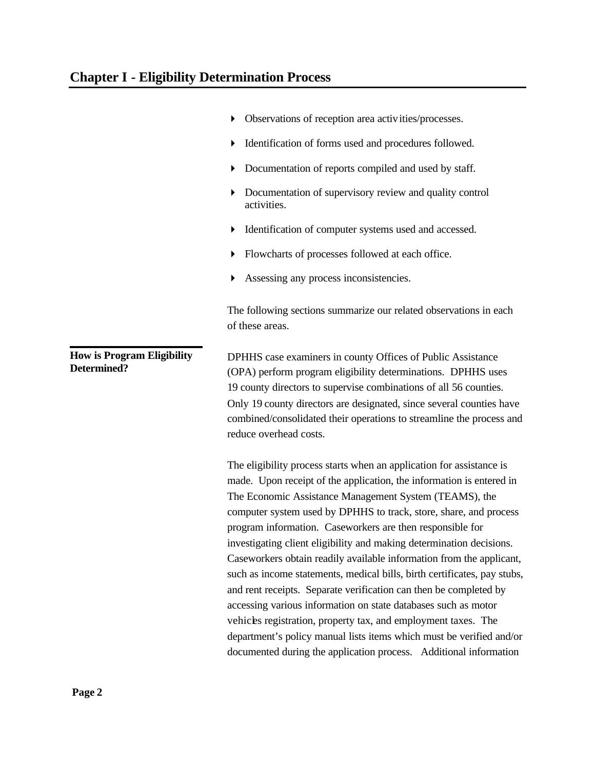|                                                  | Observations of reception area activities/processes.                                                                                                                                                                                                                                                                                                                                                                                                                                                                                                                                                                                                                                                                                                                                                                                                  |
|--------------------------------------------------|-------------------------------------------------------------------------------------------------------------------------------------------------------------------------------------------------------------------------------------------------------------------------------------------------------------------------------------------------------------------------------------------------------------------------------------------------------------------------------------------------------------------------------------------------------------------------------------------------------------------------------------------------------------------------------------------------------------------------------------------------------------------------------------------------------------------------------------------------------|
|                                                  | Identification of forms used and procedures followed.                                                                                                                                                                                                                                                                                                                                                                                                                                                                                                                                                                                                                                                                                                                                                                                                 |
|                                                  | Documentation of reports compiled and used by staff.<br>▶                                                                                                                                                                                                                                                                                                                                                                                                                                                                                                                                                                                                                                                                                                                                                                                             |
|                                                  | Documentation of supervisory review and quality control<br>activities.                                                                                                                                                                                                                                                                                                                                                                                                                                                                                                                                                                                                                                                                                                                                                                                |
|                                                  | Identification of computer systems used and accessed.                                                                                                                                                                                                                                                                                                                                                                                                                                                                                                                                                                                                                                                                                                                                                                                                 |
|                                                  | Flowcharts of processes followed at each office.                                                                                                                                                                                                                                                                                                                                                                                                                                                                                                                                                                                                                                                                                                                                                                                                      |
|                                                  | Assessing any process inconsistencies.                                                                                                                                                                                                                                                                                                                                                                                                                                                                                                                                                                                                                                                                                                                                                                                                                |
|                                                  | The following sections summarize our related observations in each<br>of these areas.                                                                                                                                                                                                                                                                                                                                                                                                                                                                                                                                                                                                                                                                                                                                                                  |
| <b>How is Program Eligibility</b><br>Determined? | DPHHS case examiners in county Offices of Public Assistance<br>(OPA) perform program eligibility determinations. DPHHS uses<br>19 county directors to supervise combinations of all 56 counties.<br>Only 19 county directors are designated, since several counties have<br>combined/consolidated their operations to streamline the process and<br>reduce overhead costs.                                                                                                                                                                                                                                                                                                                                                                                                                                                                            |
|                                                  | The eligibility process starts when an application for assistance is<br>made. Upon receipt of the application, the information is entered in<br>The Economic Assistance Management System (TEAMS), the<br>computer system used by DPHHS to track, store, share, and process<br>program information. Caseworkers are then responsible for<br>investigating client eligibility and making determination decisions.<br>Caseworkers obtain readily available information from the applicant,<br>such as income statements, medical bills, birth certificates, pay stubs,<br>and rent receipts. Separate verification can then be completed by<br>accessing various information on state databases such as motor<br>vehicles registration, property tax, and employment taxes. The<br>department's policy manual lists items which must be verified and/or |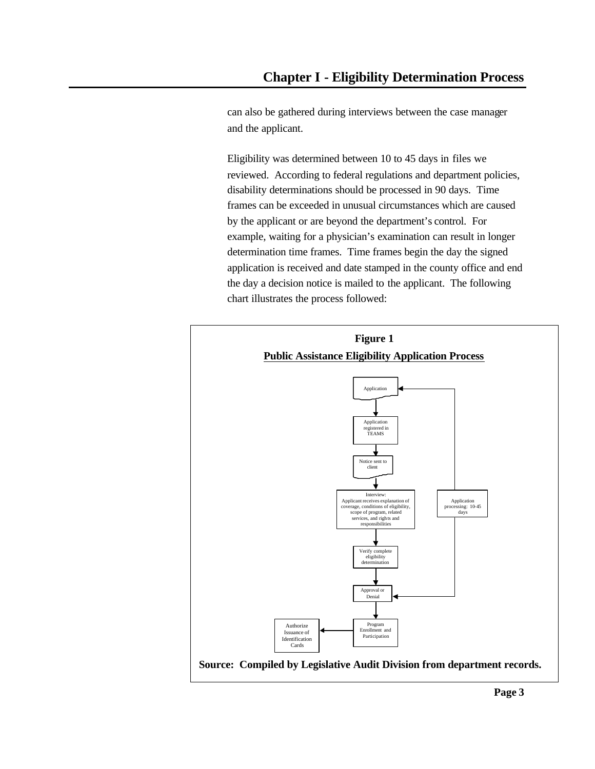can also be gathered during interviews between the case manager and the applicant.

Eligibility was determined between 10 to 45 days in files we reviewed. According to federal regulations and department policies, disability determinations should be processed in 90 days. Time frames can be exceeded in unusual circumstances which are caused by the applicant or are beyond the department's control. For example, waiting for a physician's examination can result in longer determination time frames. Time frames begin the day the signed application is received and date stamped in the county office and end the day a decision notice is mailed to the applicant. The following chart illustrates the process followed:

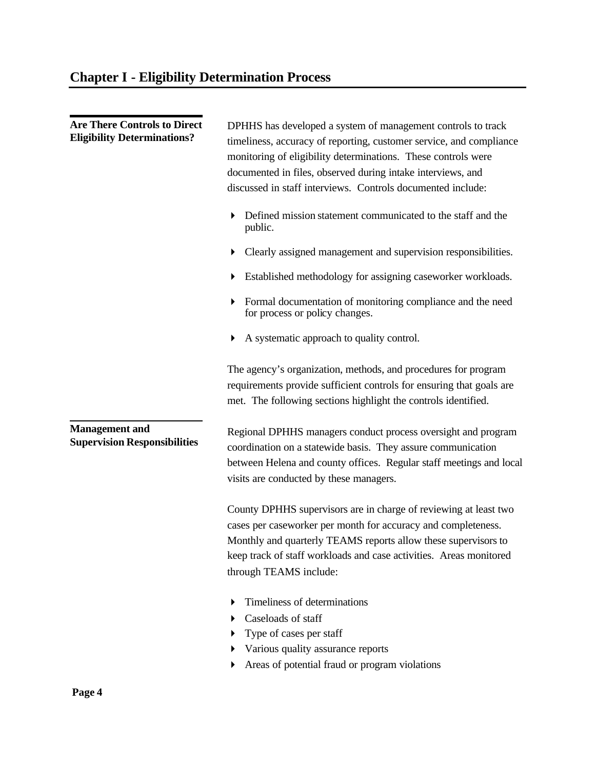| <b>Are There Controls to Direct</b><br><b>Eligibility Determinations?</b> | DPHHS has developed a system of management controls to track<br>timeliness, accuracy of reporting, customer service, and compliance<br>monitoring of eligibility determinations. These controls were<br>documented in files, observed during intake interviews, and<br>discussed in staff interviews. Controls documented include: |
|---------------------------------------------------------------------------|------------------------------------------------------------------------------------------------------------------------------------------------------------------------------------------------------------------------------------------------------------------------------------------------------------------------------------|
|                                                                           | Defined mission statement communicated to the staff and the<br>public.                                                                                                                                                                                                                                                             |
|                                                                           | Clearly assigned management and supervision responsibilities.                                                                                                                                                                                                                                                                      |
|                                                                           | Established methodology for assigning caseworker workloads.                                                                                                                                                                                                                                                                        |
|                                                                           | Formal documentation of monitoring compliance and the need<br>for process or policy changes.                                                                                                                                                                                                                                       |
|                                                                           | A systematic approach to quality control.                                                                                                                                                                                                                                                                                          |
|                                                                           | The agency's organization, methods, and procedures for program<br>requirements provide sufficient controls for ensuring that goals are<br>met. The following sections highlight the controls identified.                                                                                                                           |
| <b>Management</b> and<br><b>Supervision Responsibilities</b>              | Regional DPHHS managers conduct process oversight and program<br>coordination on a statewide basis. They assure communication<br>between Helena and county offices. Regular staff meetings and local<br>visits are conducted by these managers.                                                                                    |
|                                                                           | County DPHHS supervisors are in charge of reviewing at least two<br>cases per caseworker per month for accuracy and completeness.<br>Monthly and quarterly TEAMS reports allow these supervisors to<br>keep track of staff workloads and case activities. Areas monitored<br>through TEAMS include:                                |
|                                                                           | Timeliness of determinations<br>Caseloads of staff<br>Type of cases per staff<br>Various quality assurance reports<br>Areas of potential fraud or program violations                                                                                                                                                               |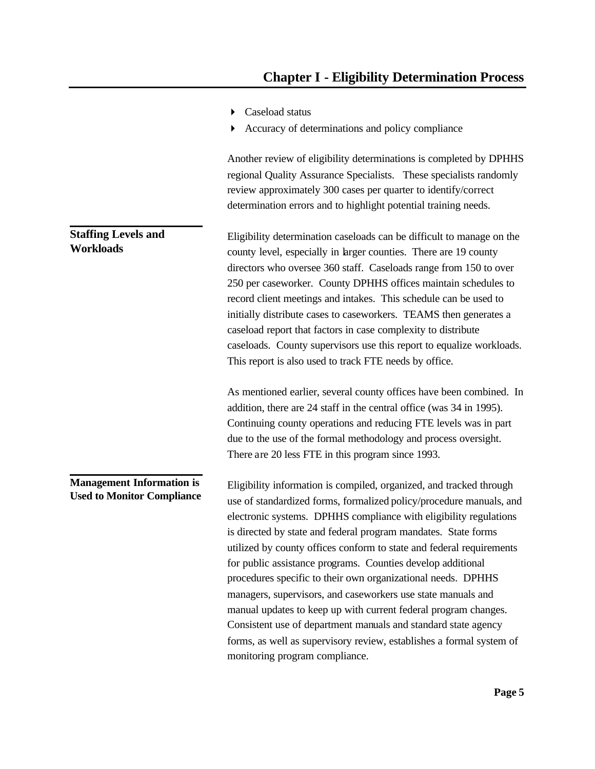- ▶ Caseload status
- 4 Accuracy of determinations and policy compliance

Another review of eligibility determinations is completed by DPHHS regional Quality Assurance Specialists. These specialists randomly review approximately 300 cases per quarter to identify/correct determination errors and to highlight potential training needs.

Eligibility determination caseloads can be difficult to manage on the county level, especially in larger counties. There are 19 county directors who oversee 360 staff. Caseloads range from 150 to over 250 per caseworker. County DPHHS offices maintain schedules to record client meetings and intakes. This schedule can be used to initially distribute cases to caseworkers. TEAMS then generates a caseload report that factors in case complexity to distribute caseloads. County supervisors use this report to equalize workloads. This report is also used to track FTE needs by office.

> As mentioned earlier, several county offices have been combined. In addition, there are 24 staff in the central office (was 34 in 1995). Continuing county operations and reducing FTE levels was in part due to the use of the formal methodology and process oversight. There are 20 less FTE in this program since 1993.

Eligibility information is compiled, organized, and tracked through use of standardized forms, formalized policy/procedure manuals, and electronic systems. DPHHS compliance with eligibility regulations is directed by state and federal program mandates. State forms utilized by county offices conform to state and federal requirements for public assistance programs. Counties develop additional procedures specific to their own organizational needs. DPHHS managers, supervisors, and caseworkers use state manuals and manual updates to keep up with current federal program changes. Consistent use of department manuals and standard state agency forms, as well as supervisory review, establishes a formal system of monitoring program compliance. **Management Information is Used to Monitor Compliance**

### **Staffing Levels and Workloads**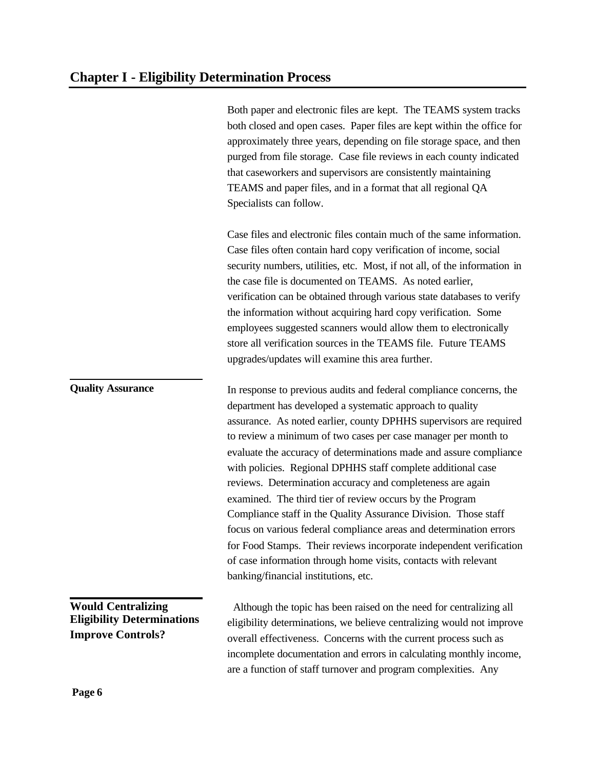Both paper and electronic files are kept. The TEAMS system tracks both closed and open cases. Paper files are kept within the office for approximately three years, depending on file storage space, and then purged from file storage. Case file reviews in each county indicated that caseworkers and supervisors are consistently maintaining TEAMS and paper files, and in a format that all regional QA Specialists can follow.

Case files and electronic files contain much of the same information. Case files often contain hard copy verification of income, social security numbers, utilities, etc. Most, if not all, of the information in the case file is documented on TEAMS. As noted earlier, verification can be obtained through various state databases to verify the information without acquiring hard copy verification. Some employees suggested scanners would allow them to electronically store all verification sources in the TEAMS file. Future TEAMS upgrades/updates will examine this area further.

In response to previous audits and federal compliance concerns, the department has developed a systematic approach to quality assurance. As noted earlier, county DPHHS supervisors are required to review a minimum of two cases per case manager per month to evaluate the accuracy of determinations made and assure compliance with policies. Regional DPHHS staff complete additional case reviews. Determination accuracy and completeness are again examined. The third tier of review occurs by the Program Compliance staff in the Quality Assurance Division. Those staff focus on various federal compliance areas and determination errors for Food Stamps. Their reviews incorporate independent verification of case information through home visits, contacts with relevant banking/financial institutions, etc.

**Would Centralizing Eligibility Determinations Improve Controls?**

 Although the topic has been raised on the need for centralizing all eligibility determinations, we believe centralizing would not improve overall effectiveness. Concerns with the current process such as incomplete documentation and errors in calculating monthly income, are a function of staff turnover and program complexities. Any

**Quality Assurance**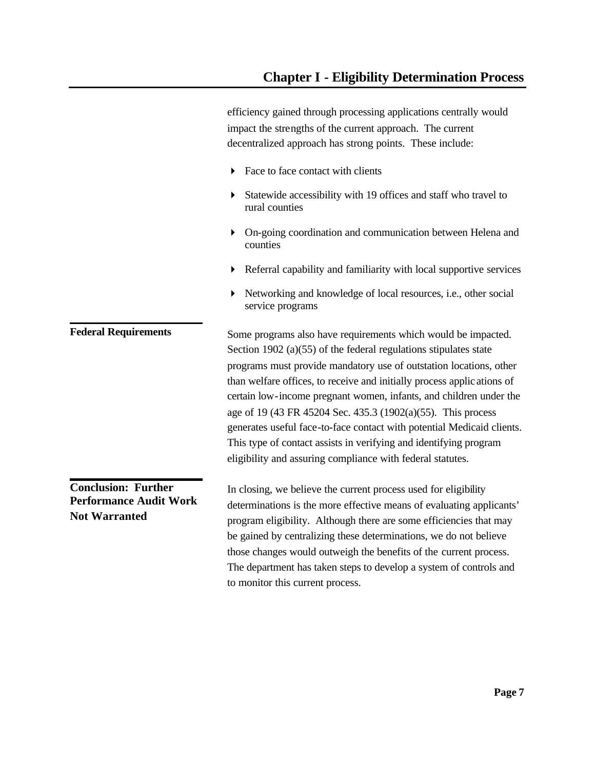efficiency gained through processing applications centrally would impact the strengths of the current approach. The current decentralized approach has strong points. These include:

- $\blacktriangleright$  Face to face contact with clients
- 4 Statewide accessibility with 19 offices and staff who travel to rural counties
- 4 On-going coordination and communication between Helena and counties
- 4 Referral capability and familiarity with local supportive services
- 4 Networking and knowledge of local resources, i.e., other social service programs

Some programs also have requirements which would be impacted. Section 1902 (a)(55) of the federal regulations stipulates state programs must provide mandatory use of outstation locations, other than welfare offices, to receive and initially process applic ations of certain low-income pregnant women, infants, and children under the age of 19 (43 FR 45204 Sec. 435.3 (1902(a)(55). This process generates useful face-to-face contact with potential Medicaid clients. This type of contact assists in verifying and identifying program eligibility and assuring compliance with federal statutes. **Conclusion: Further Federal Requirements**

In closing, we believe the current process used for eligibility determinations is the more effective means of evaluating applicants' program eligibility. Although there are some efficiencies that may be gained by centralizing these determinations, we do not believe those changes would outweigh the benefits of the current process. The department has taken steps to develop a system of controls and to monitor this current process. **Performance Audit Work Not Warranted**